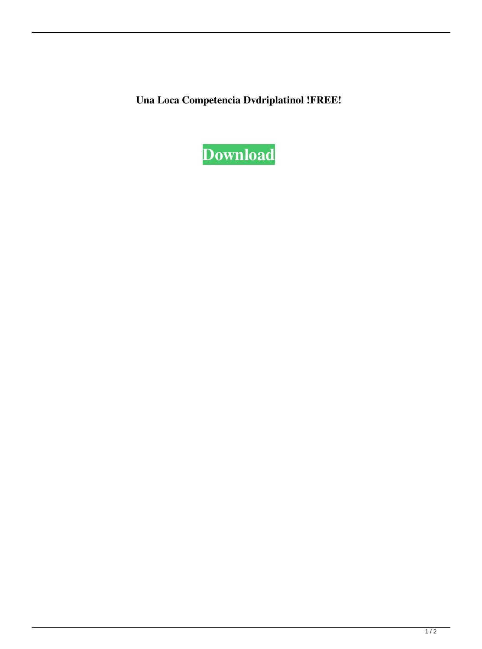**Una Loca Competencia Dvdriplatinol !FREE!**